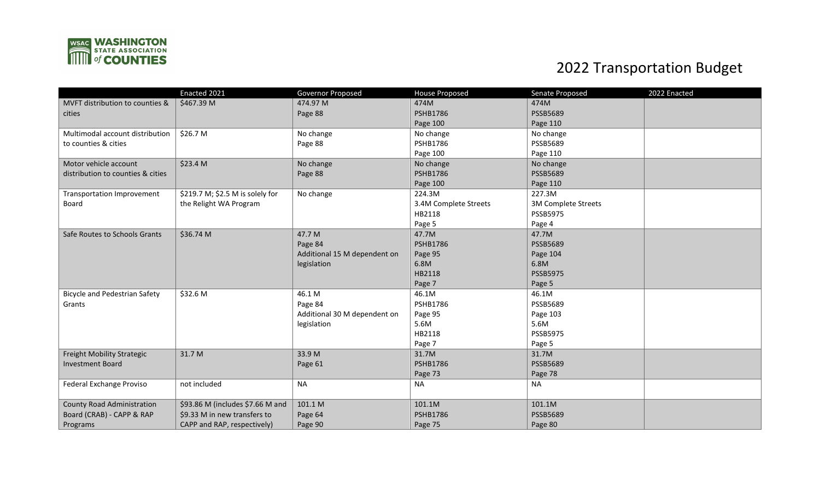

## 2022 Transportation Budget

|                                      | Enacted 2021                     | Governor Proposed            | <b>House Proposed</b> | Senate Proposed<br>2022 Enacted |
|--------------------------------------|----------------------------------|------------------------------|-----------------------|---------------------------------|
| MVFT distribution to counties &      | \$467.39 M                       | 474.97 M                     | 474M                  | 474M                            |
| cities                               |                                  | Page 88                      | <b>PSHB1786</b>       | <b>PSSB5689</b>                 |
|                                      |                                  |                              | Page 100              | Page 110                        |
| Multimodal account distribution      | \$26.7 M                         | No change                    | No change             | No change                       |
| to counties & cities                 |                                  | Page 88                      | <b>PSHB1786</b>       | PSSB5689                        |
|                                      |                                  |                              | Page 100              | Page 110                        |
| Motor vehicle account                | \$23.4 M                         | No change                    | No change             | No change                       |
| distribution to counties & cities    |                                  | Page 88                      | <b>PSHB1786</b>       | <b>PSSB5689</b>                 |
|                                      |                                  |                              | Page 100              | Page 110                        |
| Transportation Improvement           | \$219.7 M; \$2.5 M is solely for | No change                    | 224.3M                | 227.3M                          |
| Board                                | the Relight WA Program           |                              | 3.4M Complete Streets | 3M Complete Streets             |
|                                      |                                  |                              | HB2118                | <b>PSSB5975</b>                 |
|                                      |                                  |                              | Page 5                | Page 4                          |
| Safe Routes to Schools Grants        | \$36.74 M                        | 47.7 M                       | 47.7M                 | 47.7M                           |
|                                      |                                  | Page 84                      | <b>PSHB1786</b>       | <b>PSSB5689</b>                 |
|                                      |                                  | Additional 15 M dependent on | Page 95               | Page 104                        |
|                                      |                                  | legislation                  | 6.8M                  | 6.8M                            |
|                                      |                                  |                              | HB2118                | <b>PSSB5975</b>                 |
|                                      |                                  |                              | Page 7                | Page 5                          |
| <b>Bicycle and Pedestrian Safety</b> | \$32.6 M                         | 46.1 M                       | 46.1M                 | 46.1M                           |
| Grants                               |                                  | Page 84                      | <b>PSHB1786</b>       | <b>PSSB5689</b>                 |
|                                      |                                  | Additional 30 M dependent on | Page 95               | Page 103                        |
|                                      |                                  | legislation                  | 5.6M                  | 5.6M                            |
|                                      |                                  |                              | HB2118                | <b>PSSB5975</b>                 |
|                                      |                                  |                              | Page 7                | Page 5                          |
| Freight Mobility Strategic           | 31.7 M                           | 33.9 M                       | 31.7M                 | 31.7M                           |
| <b>Investment Board</b>              |                                  | Page 61                      | <b>PSHB1786</b>       | <b>PSSB5689</b>                 |
|                                      |                                  |                              | Page 73               | Page 78                         |
| Federal Exchange Proviso             | not included                     | <b>NA</b>                    | <b>NA</b>             | <b>NA</b>                       |
|                                      |                                  |                              |                       |                                 |
| <b>County Road Administration</b>    | \$93.86 M (includes \$7.66 M and | 101.1 M                      | 101.1M                | 101.1M                          |
| Board (CRAB) - CAPP & RAP            | \$9.33 M in new transfers to     | Page 64                      | <b>PSHB1786</b>       | <b>PSSB5689</b>                 |
| Programs                             | CAPP and RAP, respectively)      | Page 90                      | Page 75               | Page 80                         |